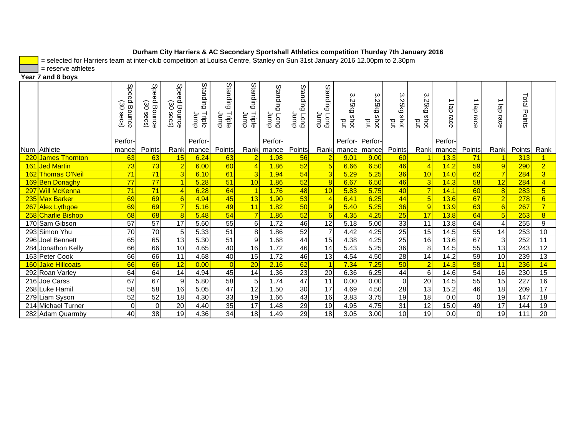= selected for Harriers team at inter-club competition at Louisa Centre, Stanley on Sun 31st January 2016 12.00pm to 2.30pm

 $=$  reserve athletes

# **Year 7 and 8 boys**

|                    | <b>Speed</b><br>30<br>Bounce<br>Secs) | Spee<br>ق<br>မွှ<br>Bounce<br>secs) | Spee<br>Õ<br>30<br>Bounce<br>secs) | Standing<br>Triple<br>qmulp | Standing<br>Triple<br>Jump | Standing<br>Triple<br>duunr | Standin<br>$\Omega$<br>duunp<br>Long | Standin<br>$\Omega$<br>duur<br><b>Fong</b> | Standin<br>$\Omega$<br>dwnr<br><b>Guo</b> | 3.25kg<br>shot<br>put | 3.25kg<br>က<br>ਕ੍ਰੋ<br>put | ω<br>iv.<br>Ö٦<br><u>යි</u><br>ဖ<br>ਕ੍ਰੋ<br>put | 3.25kg<br>shot<br>pq | ab<br>race       | ∸<br>$\overline{\omega}$<br>ᡠ<br>race | ∸<br>ab<br>race | Total<br>Points |                |
|--------------------|---------------------------------------|-------------------------------------|------------------------------------|-----------------------------|----------------------------|-----------------------------|--------------------------------------|--------------------------------------------|-------------------------------------------|-----------------------|----------------------------|-------------------------------------------------|----------------------|------------------|---------------------------------------|-----------------|-----------------|----------------|
| Num Athlete        | Perfor-<br>mance                      | Points                              | Rankl                              | Perfor-<br>mance            | Points                     | Rank                        | Perfor-<br>mancel                    | Points                                     | Rank                                      | Perfor-<br>mance      | Perfor-<br>mance           | Points                                          | Rankl                | Perfor-<br>mance | Points                                | Rank            | Points          | Rank           |
| 220 James Thornton | 63                                    | 63                                  | 15                                 | 6.24                        | 63                         |                             | 1.98                                 | 56                                         |                                           | 9.01                  | 9.00                       | 60                                              |                      | 13.3             | 71                                    |                 | 313             |                |
| 161 Jed Martin     | $\overline{73}$                       | 73                                  | $\overline{2}$                     | 6.00                        | 60                         |                             | 1.86                                 | 52                                         | $\overline{5}$                            | 6.66                  | 6.50                       | 46                                              | 4                    | 14.2             | 59                                    | 9               | 290             | $\overline{2}$ |
| 162 Thomas O'Neil  | 71                                    | 71                                  | $\overline{3}$                     | 6.10                        | 61                         | 3                           | 1.94                                 | 54                                         | $\overline{3}$                            | 5.29                  | 5.25                       | 36                                              | 10                   | 14.0             | 62                                    |                 | 284             | $\overline{3}$ |
| 169 Ben Donaghy    | 77                                    | 77                                  | 1                                  | 5.28                        | 51                         | 10                          | 1.86                                 | 52                                         | 8                                         | 6.67                  | 6.50                       | 46                                              | 3                    | 14.3             | 58                                    | 12              | 284             | $\overline{4}$ |
| 297 Will McKenna   | 71                                    | 71                                  | $\vert 4 \vert$                    | 6.28                        | 64                         | $\overline{1}$              | 1.76                                 | 48                                         | 10                                        | 5.83                  | 5.75                       | 40                                              | $\overline{7}$       | 14.1             | 60                                    | 8               | 283             | 5 <sup>5</sup> |
| 235 Max Barker     | 69                                    | 69                                  | 6                                  | 4.94                        | 45                         | 13                          | 1.90                                 | 53                                         | $\overline{4}$                            | 6.41                  | 6.25                       | 44                                              | $\overline{5}$       | 13.6             | 67                                    |                 | 278             | 6 <sup>1</sup> |
| 267 Alex Lythgoe   | 69                                    | 69                                  | $\overline{7}$                     | 5.16                        | 49                         | 11                          | 1.82                                 | 50                                         | 9                                         | 5.40                  | 5.25                       | 36                                              | 9                    | 13.9             | 63                                    |                 | 267             | $\overline{7}$ |
| 258 Charlie Bishop | 68                                    | 68                                  | 8                                  | 5.48                        | 54                         |                             | 1.86                                 | 52                                         | 6                                         | 4.35                  | 4.25                       | 25                                              | 17                   | 13.8             | 64                                    |                 | 263             | 8 <sup>2</sup> |
| 170 Sam Gibson     | 57                                    | 57                                  | 17                                 | 5.60                        | 55                         | 6                           | 1.72                                 | 46                                         | 12                                        | 5.18                  | 5.00                       | 33                                              | 11                   | 13.8             | 64                                    | 4               | 255             | 9              |
| 293 Simon Yhu      | 70                                    | 70                                  | 5                                  | 5.33                        | 51                         | 8                           | 1.86                                 | 52                                         |                                           | 4.42                  | 4.25                       | 25                                              | 15                   | 14.5             | 55                                    | 14              | 253             | 10             |
| 296 Joel Bennett   | 65                                    | 65                                  | 13                                 | 5.30                        | 51                         | 9                           | 1.68                                 | 44                                         | 15                                        | 4.38                  | 4.25                       | 25                                              | 16                   | 13.6             | 67                                    | 3               | 252             | 11             |
| 284 Jonathon Kelly | 66                                    | 66                                  | 10                                 | 4.65                        | 40                         | 16                          | 1.72                                 | 46                                         | 14                                        | 5.43                  | 5.25                       | 36                                              | 8                    | 14.5             | 55                                    | 13              | 243             | 12             |
| 163 Peter Cook     | 66                                    | 66                                  | 11                                 | 4.68                        | 40                         | 15                          | 1.72                                 | 46                                         | 13                                        | 4.54                  | 4.50                       | 28                                              | 14                   | 14.2             | 59                                    | 10              | 239             | 13             |
| 160 Jake Hillcoats | 66                                    | 66                                  | 12                                 | 0.00                        | $\overline{0}$             | 20                          | 2.16                                 | 62                                         |                                           | 7.34                  | 7.25                       | 50                                              | $\overline{2}$       | 14.3             | 58                                    | 11              | 236             | 14             |
| 292 Roan Varley    | 64                                    | 64                                  | 14                                 | 4.94                        | 45                         | 14                          | 1.36                                 | 23                                         | 20                                        | 6.36                  | 6.25                       | 44                                              | 6                    | 14.6             | 54                                    | 16              | 230             | 15             |
| 216 Joe Carss      | 67                                    | 67                                  | $\boldsymbol{9}$                   | 5.80                        | 58                         | 5                           | 1.74                                 | 47                                         | 11                                        | 0.00                  | 0.00                       | $\overline{0}$                                  | 20                   | 14.5             | 55                                    | 15              | 227             | 16             |
| 268 Luke Hamil     | 58                                    | 58                                  | 16                                 | 5.05                        | 47                         | 12                          | 1.50                                 | 30                                         | 17                                        | 4.69                  | 4.50                       | $\overline{28}$                                 | 13                   | 15.2             | 46                                    | 18              | 209             | 17             |
| 279 Liam Syson     | 52                                    | 52                                  | 18                                 | 4.30                        | 33                         | 19                          | 1.66                                 | 43                                         | 16                                        | 3.83                  | 3.75                       | 19                                              | 18                   | 0.0              | $\Omega$                              | 19              | 147             | 18             |
| 214 Michael Turner | $\Omega$                              | $\mathbf{0}$                        | 20                                 | 4.40                        | 35                         | 17                          | 1.48                                 | 29                                         | 19                                        | 4.95                  | 4.75                       | 31                                              | 12                   | 15.0             | 49                                    | 17              | 144             | 19             |
| 282 Adam Quarmby   | $\overline{40}$                       | $\overline{38}$                     | 19                                 | 4.36                        | 34                         | $\overline{18}$             | 1.49                                 | $\overline{29}$                            | 18                                        | 3.05                  | 3.00                       | 10                                              | 19                   | 0.0              | $\Omega$                              | 19              | 111             | 20             |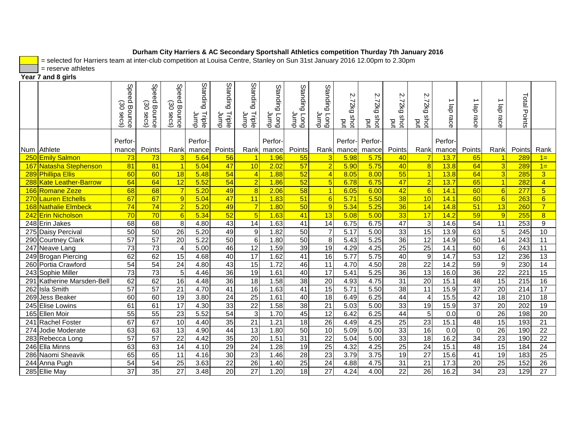= selected for Harriers team at inter-club competition at Louisa Centre, Stanley on Sun 31st January 2016 12.00pm to 2.30pm

 $=$  reserve athletes

**Year 7 and 8 girls**

|                            | <b>Speed</b><br>ගි<br>Bounce<br>Secs) | Spee<br>$\Omega$<br>30<br>Bounce<br>secs) | Speed<br>30<br>Bounce<br>secs) | <b>Standing</b><br>Triple<br>dunr | Standing<br>Triple<br>qmup | Standing<br>Triple<br>Jump | Standing<br>l<br>Umpl<br>pnol | Standin<br>$\Omega$<br>Long<br>Ignol | Standing<br>dunr<br><b>Fong</b> | $\sim$<br>D2kg<br>shot<br>pq | $\mathcal{D}$<br>↘<br>Zkg<br>w<br>ğ<br>pq | Ņ<br>N<br>Ã<br>shot<br>put | N<br>T2kg<br>w<br>ğ<br>pq | ∸<br>ab<br>race | ∸<br>de<br>race | ∸<br>de<br>race | Total<br>Points  |                 |
|----------------------------|---------------------------------------|-------------------------------------------|--------------------------------|-----------------------------------|----------------------------|----------------------------|-------------------------------|--------------------------------------|---------------------------------|------------------------------|-------------------------------------------|----------------------------|---------------------------|-----------------|-----------------|-----------------|------------------|-----------------|
|                            | Perfor-                               |                                           |                                | Perfor-                           |                            |                            | Perfor-                       |                                      |                                 | Perfor-                      | Perfor-                                   |                            |                           | Perfor-         |                 |                 |                  |                 |
| Num Athlete                | mance                                 | Points                                    | Rank                           | mance                             | Points                     | Rank                       | mance                         | Points                               | Rank                            | mance                        | mance                                     | Points                     | Rank                      | mance           | Points          | Rank            | Points           | Rank            |
| 250 Emily Salmon           | 73                                    | 73                                        | 3                              | 5.64                              | 56                         |                            | 1.96                          | 55                                   | 3                               | 5.98                         | 5.75                                      | 40                         |                           | 13.7            | 65              |                 | 289              | $1 =$           |
| 167 Natasha Stephenson     | 81                                    | $\overline{81}$                           | $\overline{1}$                 | 5.04                              | 47                         | 10                         | 2.02                          | 57                                   | $\overline{2}$                  | 5.90                         | 5.75                                      | 40                         | $\overline{8}$            | 13.8            | 64              | 3               | 289              | $1 =$           |
| 289 Phillipa Ellis         | 60                                    | 60                                        | 18                             | 5.48                              | 54                         | $\overline{4}$             | 1.88                          | 52                                   | $\overline{A}$                  | 8.05                         | 8.00                                      | 55                         |                           | 13.8            | 64              | 3               | 285              | $\overline{3}$  |
| 288 Kate Leather-Barrow    | 64                                    | 64                                        | 12                             | 5.52                              | 54                         | $\overline{2}$             | 1.86                          | 52                                   | $5\overline{5}$                 | 6.78                         | 6.75                                      | 47                         | $\overline{2}$            | 13.7            | 65              | $\vert$ 1       | 282              | $\overline{4}$  |
| 166 Romane Zeze            | 68                                    | 68                                        | $\overline{7}$                 | 5.20                              | 49                         | $\overline{8}$             | 2.06                          | 58                                   | $\overline{1}$                  | 6.05                         | 6.00                                      | 42                         | $6\overline{6}$           | 14.1            | 60              | 6               | 277              | $5\overline{)}$ |
| 270 Lauren Etchells        | 67                                    | 67                                        | 9                              | 5.04                              | $\overline{47}$            | 11                         | 1.83                          | 51                                   | 6                               | 5.71                         | 5.50                                      | 38                         | 10                        | 14.1            | 60              | 6               | 263              | $6\overline{6}$ |
| 168 Nathalie Elmbeck       | 74                                    | 74                                        | $\overline{2}$                 | 5.20                              | 49                         | $\overline{7}$             | 1.80                          | 50                                   | 9                               | 5.34                         | 5.25                                      | 36                         | 14                        | 14.8            | 51              | 13              | 260              | $\overline{7}$  |
| 242 Erin Nicholson         | 70                                    | 70                                        | $6\overline{6}$                | 5.34                              | 52                         | 5                          | 1.63                          | 41                                   | 13                              | 5.08                         | 5.00                                      | 33                         | 17                        | 14.2            | 59              | 9               | 255              | $\overline{8}$  |
| 248 Erin Jakes             | 68                                    | 68                                        | 8                              | 4.80                              | 43                         | 14                         | 1.63                          | 41                                   | 14                              | 6.75                         | 6.75                                      | 47                         | 3                         | 14.6            | 54              | 11              | 253              | 9               |
| 275 Daisy Percival         | 50                                    | 50                                        | 26                             | 5.20                              | 49                         | $\overline{9}$             | 1.82                          | $\overline{50}$                      | $\overline{7}$                  | 5.17                         | 5.00                                      | 33                         | 15                        | 13.9            | 63              | 5               | 245              | 10              |
| 290 Courtney Clark         | $\overline{57}$                       | $\overline{57}$                           | 20                             | 5.22                              | 50                         | 6 <sup>1</sup>             | 1.80                          | 50                                   | 8                               | 5.43                         | 5.25                                      | 36                         | 12                        | 14.9            | 50              | 14              | 243              | 11              |
| 247 Neave Lang             | 73                                    | 73                                        | $\overline{4}$                 | 5.00                              | 46                         | 12                         | 1.59                          | 39                                   | 19                              | 4.29                         | 4.25                                      | 25                         | 25                        | 14.1            | 60              | 6               | 243              | 11              |
| 249 Brogan Piercing        | 62                                    | 62                                        | 15                             | 4.68                              | 40                         | 17                         | 1.62                          | 41                                   | 16                              | 5.77                         | 5.75                                      | 40                         | 9                         | 14.7            | 53              | 12              | 236              | 13              |
| 260 Portia Crawford        | 54                                    | 54                                        | $\overline{24}$                | 4.80                              | 43                         | 15                         | 1.72                          | 46                                   | 11                              | 4.70                         | 4.50                                      | 28                         | 22                        | 14.2            | 59              | $\overline{9}$  | 230              | 14              |
| 243 Sophie Miller          | $\overline{73}$                       | $\overline{73}$                           | $\overline{5}$                 | 4.46                              | 36                         | 19                         | 1.61                          | 40                                   | $\overline{17}$                 | 5.41                         | 5.25                                      | 36                         | 13                        | 16.0            | 36              | $\overline{22}$ | $\overline{221}$ | 15              |
| 291 Katherine Marsden-Bell | 62                                    | 62                                        | 16                             | 4.48                              | 36                         | 18                         | 1.58                          | 38                                   | 20                              | 4.93                         | 4.75                                      | 31                         | $\overline{20}$           | 15.1            | 48              | 15              | 215              | 16              |
| 262 Isla Smith             | 57                                    | 57                                        | 21                             | 4.70                              | 41                         | 16                         | 1.63                          | 41                                   | 15                              | 5.71                         | 5.50                                      | 38                         | 11                        | 15.9            | 37              | 20              | 214              | 17              |
| 269 Jess Beaker            | 60                                    | 60                                        | $\overline{19}$                | 3.80                              | 24                         | 25                         | 1.61                          | 40                                   | $\overline{18}$                 | 6.49                         | 6.25                                      | $\overline{44}$            | 4                         | 15.5            | 42              | 18              | 210              | 18              |
| 245 Elise Lowins           | 61                                    | 61                                        | 17                             | 4.30                              | 33                         | $\overline{22}$            | 1.58                          | 38                                   | $\overline{21}$                 | 5.03                         | 5.00                                      | 33                         | 19                        | 15.9            | $\overline{37}$ | $\overline{20}$ | 202              | 19              |
| 165 Ellen Moir             | $\overline{55}$                       | $\overline{55}$                           | $\overline{23}$                | 5.52                              | 54                         | $\overline{3}$             | 1.70                          | 45                                   | $\overline{12}$                 | 6.42                         | 6.25                                      | $\overline{44}$            | 5                         | 0.0             | $\Omega$        | 26              | 198              | 20              |
| 241 Rachel Foster          | 67                                    | 67                                        | 10                             | 4.40                              | 35                         | 21                         | 1.21                          | 18                                   | 26                              | 4.49                         | 4.25                                      | 25                         | 23                        | 15.1            | 48              | 15              | 193              | 21              |
| 274 Jodie Moderate         | 63                                    | 63                                        | $\overline{13}$                | 4.90                              | 44                         | 13                         | 1.80                          | 50                                   | 10                              | 5.09                         | 5.00                                      | 33                         | 16                        | 0.0             | $\Omega$        | 26              | 190              | 22              |
| 283 Rebecca Long           | 57                                    | 57                                        | 22                             | 4.42                              | 35                         | 20                         | 1.51                          | 31                                   | 22                              | 5.04                         | 5.00                                      | 33                         | 18                        | 16.2            | 34              | 23              | 190              | 22              |
| 246 Ella Minns             | 63                                    | 63                                        | 14                             | 4.10                              | 29                         | 24                         | 1.28                          | 19                                   | 25                              | 4.32                         | 4.25                                      | 25                         | 24                        | 15.1            | 48              | 15              | 184              | 24              |
| 286 Naomi Sheavik          | 65                                    | 65                                        | 11                             | 4.16                              | 30                         | 23                         | 1.46                          | 28                                   | 23                              | 3.79                         | 3.75                                      | 19                         | 27                        | 15.6            | 41              | 19              | 183              | 25              |
| 244 Anna Pugh              | 54                                    | 54                                        | 25                             | 3.63                              | 22                         | 26                         | 1.40                          | 25                                   | 24                              | 4.88                         | 4.75                                      | 31                         | 21                        | 17.3            | 20              | 25              | 152              | 26              |
| 285 Ellie May              | $\overline{37}$                       | $\overline{35}$                           | $\overline{27}$                | 3.48                              | $\overline{20}$            | $\overline{27}$            | 1.20                          | 18                                   | $\overline{27}$                 | 4.24                         | 4.00                                      | $\overline{22}$            | 26                        | 16.2            | 34              | 23              | $\overline{129}$ | $\overline{27}$ |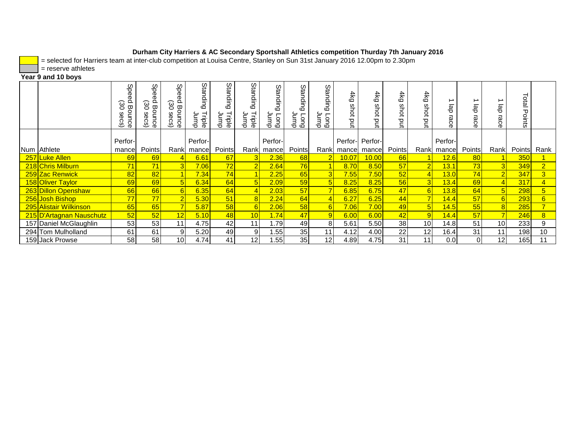= selected for Harriers team at inter-club competition at Louisa Centre, Stanley on Sun 31st January 2016 12.00pm to 2.30pm

 $=$  reserve athletes

# **Year 9 and 10 boys**

|                          | မ္မ<br>$\Omega$<br>မွ<br>Bounce<br>Ō<br>Š | Spee<br>$\tilde{\Omega}$<br>မွ<br>Bounce<br>39<br>င္တ<br>ٮ | မ္မ<br>Ō<br>$\Omega$<br>ၑၟ<br>Bounce<br>3<br>င္တ<br>ٮ | Stan<br>ain<br>$\circ$<br>Triple<br>վար | Stan<br>$\frac{\mathsf{o}}{\mathsf{o}}$<br>$\circ$<br>Triple<br>Jump | Standin<br>$\circ$<br>Triple<br>qmup | Stan<br>읔<br>$\Omega$<br>Jump<br>ong | era<br>읔<br>$\circ$<br>dunr<br><b>Fong</b> | ഗ<br>ng)<br>읔<br>$\Omega$<br>qmu<br>ອອ | $4k$ g<br>shot<br>pq | 4kg<br>shot<br>ξ | 4k<br>с<br>5 | $4k$ g<br>shot<br>pq | gb<br>race | မ္မ<br>ھ<br>శ్లె | 용               | Total<br>Points |                |
|--------------------------|-------------------------------------------|------------------------------------------------------------|-------------------------------------------------------|-----------------------------------------|----------------------------------------------------------------------|--------------------------------------|--------------------------------------|--------------------------------------------|----------------------------------------|----------------------|------------------|--------------|----------------------|------------|------------------|-----------------|-----------------|----------------|
|                          | Perfor-                                   |                                                            |                                                       | Perfor-                                 |                                                                      |                                      | Perfor-                              |                                            |                                        |                      | Perfor- Perfor-  |              |                      | Perfor-    |                  |                 |                 |                |
| Num Athlete              | mance                                     | Points                                                     | Rank                                                  | mancel                                  | Points                                                               |                                      | Rank mance                           | Points                                     | Rankl                                  | mancel               | mance            | Points       |                      | Rank mance | Points           | Rank            | Points          | Rank           |
| 257 Luke Allen           | 69                                        | 69                                                         |                                                       | 6.61                                    | 67                                                                   |                                      | 2.36                                 | 68                                         |                                        | 10.07                | 10.00            | 66           |                      | 12.6       | 80               |                 | 350             |                |
| 218 Chris Milburn        | 71                                        | 71                                                         | $\overline{3}$                                        | 7.06                                    | 72                                                                   |                                      | 2.64                                 | 76                                         |                                        | 8.70                 | 8.50             | 57           | $\overline{2}$       | 13.1       | 73               |                 | 349             | $\overline{2}$ |
| 259 Zac Renwick          | 82                                        | 82                                                         |                                                       | 7.34                                    | 74                                                                   |                                      | 2.25                                 | 65                                         | 3                                      | 7.55                 | 7.50             | 52           |                      | 13.0       | 74               |                 | 347             | $\overline{3}$ |
| 158 Oliver Taylor        | 69                                        | 69                                                         | 5                                                     | 6.34                                    | 64                                                                   | 5 <sup>1</sup>                       | 2.09                                 | 59                                         | $5\overline{)}$                        | 8.25                 | 8.25             | 56           | 3 <sup>l</sup>       | 13.4       | 69               |                 | 317             | $\overline{4}$ |
| 263 Dillon Openshaw      | 66                                        | 66                                                         |                                                       | 6.35                                    | 64                                                                   |                                      | 2.03                                 | 57                                         |                                        | 6.85                 | 6.75             | 47           | 6                    | 13.8       | 64               |                 | 298             | 5              |
| 256 Josh Bishop          | 77                                        | 77                                                         | $\overline{2}$                                        | 5.30                                    | 51                                                                   |                                      | 2.24                                 | 64                                         |                                        | 6.27                 | 6.25             | 44           |                      | 14.4       | 57               |                 | 293             | 6              |
| 295 Alistair Wilkinson   | 65                                        | 65                                                         |                                                       | 5.87                                    | 58                                                                   | 6                                    | 2.06                                 | 58                                         | 6                                      | 7.06                 | 7.00             | 49           | 5                    | 14.5       | 55               |                 | 285             | $\overline{7}$ |
| 215 D'Artagnan Nauschutz | 52                                        | 52                                                         | 12                                                    | 5.10                                    | 48                                                                   | 10 <sup>1</sup>                      | 1.74                                 | 47                                         |                                        | 6.00                 | 6.00             | 42           |                      | 14.4       | 57               |                 | 246             | 8 <sup>2</sup> |
| 157 Daniel McGlaughlin   | 53                                        | 53                                                         | 11                                                    | 4.75                                    | 42                                                                   | 11                                   | 1.79                                 | 49                                         | 8.                                     | 5.61                 | 5.50             | 38           | 10 <sup>1</sup>      | 14.8       | 51               | 10              | 233             | 9              |
| 294 Tom Mulholland       | 61                                        | 61                                                         | 9                                                     | 5.20                                    | 49                                                                   | 9 <sub>l</sub>                       | 1.55                                 | 35                                         | 11                                     | 4.12                 | 4.00             | 22           | 12                   | 16.4       | 31               | 11              | 198             | 10             |
| 159 Jack Prowse          | 58                                        | 58                                                         | 10                                                    | 4.74                                    | 41                                                                   | 12 <sub>1</sub>                      | .55                                  | 35                                         | 12                                     | 4.89                 | 4.75             | 31           | 11 <sub>1</sub>      | 0.0        | $\Omega$         | 12 <sub>1</sub> | 165             | 11             |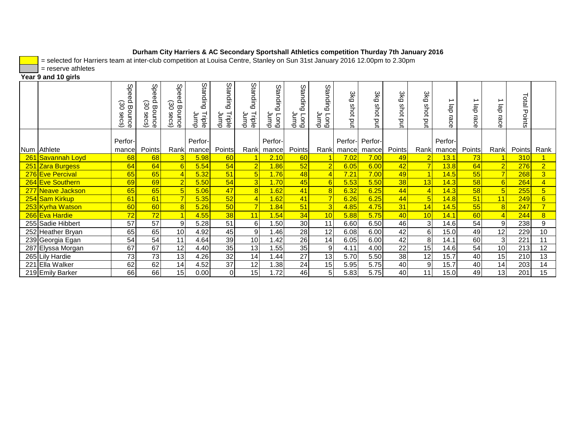= selected for Harriers team at inter-club competition at Louisa Centre, Stanley on Sun 31st January 2016 12.00pm to 2.30pm

 $=$  reserve athletes

# **Year 9 and 10 girls**

|                          | Spee<br>$\Omega$<br>30<br>Bounce<br>Secs) | Spee<br>Õ.<br>30<br>Bounce<br>secs) | Spe<br>$\Omega$<br>30<br>Bounce<br>secs) | Standin<br>$\circ$<br>Triple<br>dunr | Standin<br>$\circ$<br>Triple<br>qmup | Standing<br>Triple<br>dunr | Standir<br>$\Omega$<br>duunp<br><b>Fong</b> | ន<br>ខេ<br>u<br>S<br>$\circ$<br>duur<br><b>Duo</b> | Standin<br>$\overline{O}$<br>dunr<br><b>Fong</b> | 3kg<br>shot<br>Ρú | 3kg<br>$\omega$<br>ğ<br>pd | 3kg<br>w<br>ਡੋ<br>prit | 3kg<br>shot<br>put | de<br>race  | ∸<br>dg<br>race | ap<br>5<br>ဥ    | Total<br>Points |                |
|--------------------------|-------------------------------------------|-------------------------------------|------------------------------------------|--------------------------------------|--------------------------------------|----------------------------|---------------------------------------------|----------------------------------------------------|--------------------------------------------------|-------------------|----------------------------|------------------------|--------------------|-------------|-----------------|-----------------|-----------------|----------------|
|                          | Perfor-                                   |                                     |                                          | Perfor-                              |                                      |                            | Perfor-                                     |                                                    |                                                  | Perfor-           | Perfor-                    |                        |                    | Perfor-     |                 |                 |                 |                |
| Num Athlete              | mance                                     | <b>Points</b>                       | Rank                                     | mance                                | <b>Points</b>                        | Rank                       | mance                                       | Points                                             |                                                  | Rank mancel       | mance                      | Points                 |                    | Rank mancel | Points          | Rank            | Points          | Rank           |
| <b>261 Savannah Loyd</b> | 68                                        | 68                                  | 3                                        | 5.98                                 | 60                                   |                            | 2.10                                        | 60                                                 |                                                  | 7.02              | 7.00                       | 49                     |                    | 13.1        | $\overline{73}$ |                 | 310             |                |
| 251 Zara Burgess         | 64                                        | 64                                  | $6\overline{6}$                          | 5.54                                 | 54                                   |                            | 1.86                                        | 52                                                 | $\overline{2}$                                   | 6.05              | 6.00                       | 42                     |                    | 13.8        | 64              |                 | 276             | $\overline{2}$ |
| 276 Eve Percival         | 65                                        | 65                                  | $\overline{4}$                           | 5.32                                 | 51                                   | 5                          | 1.76                                        | 48                                                 |                                                  | 7.21              | 7.00                       | 49                     |                    | 14.5        | 55              |                 | 268             | 3 <sup>°</sup> |
| 264 Eve Southern         | 69                                        | 69                                  | $\overline{2}$                           | 5.50                                 | 54                                   | 3                          | 1.70                                        | 45                                                 | 6                                                | 5.53              | 5.50                       | 38                     | 13                 | 14.3        | 58              | 6               | 264             | $\overline{4}$ |
| 277 Neave Jackson        | 65                                        | 65                                  | $\vert 5 \vert$                          | 5.06                                 | 47                                   | 8                          | 1.62                                        | 41                                                 | 8                                                | 6.32              | 6.25                       | 44                     | $\overline{4}$     | 14.3        | 58              | $5\overline{)}$ | 255             | 5 <sup>5</sup> |
| 254 Sam Kirkup           | 61                                        | 61                                  | $\overline{7}$                           | 5.35                                 | 52                                   |                            | 1.62                                        | 41                                                 | $\overline{7}$                                   | 6.26              | 6.25                       | 44                     | 5 <sub>l</sub>     | 14.8        | 51              | 11              | 249             | 6              |
| 253 Kyrha Watson         | 60                                        | 60                                  | 8                                        | 5.26                                 | 50                                   |                            | 1.84                                        | 51                                                 | 3                                                | 4.85              | 4.75                       | 31                     | 14                 | 14.5        | 55              | 8               | 247             | 7 <sup>1</sup> |
| 266 Eva Hardie           | 72                                        | 72                                  | 1                                        | 4.55                                 | 38                                   | 11                         | 1.54                                        | 34                                                 | 10                                               | 5.88              | 5.75                       | 40                     | 10                 | 14.1        | 60              |                 | 244             | 8 <sup>2</sup> |
| 255 Sadie Hibbert        | 57                                        | 57                                  | 9                                        | 5.28                                 | 51                                   | 6                          | 1.50                                        | 30                                                 | 11                                               | 6.60              | 6.50                       | 46                     | 3 <sup>l</sup>     | 14.6        | 54              | 9               | 238             | 9              |
| 252 Heather Bryan        | 65                                        | 65                                  | 10                                       | 4.92                                 | 45                                   | 9                          | 1.46                                        | 28                                                 | 12                                               | 6.08              | 6.00                       | 42                     | 6                  | 15.0        | 49              | 12              | 229             | 10             |
| 239 Georgia Egan         | 54                                        | 54                                  | 11                                       | 4.64                                 | 39                                   | 10                         | 1.42                                        | 26                                                 | 14                                               | 6.05              | 6.00                       | 42                     | 8                  | 14.1        | 60              | 3               | 221             | 11             |
| 287 Elyssa Morgan        | 67                                        | 67                                  | 12                                       | 4.40                                 | 35                                   | 13                         | 1.55                                        | 35                                                 | 9                                                | 4.11              | 4.00                       | 22                     | 15                 | 14.6        | 54              | 10 <sup>1</sup> | 213             | 12             |
| 265 Lily Hardie          | 73                                        | 73                                  | 13                                       | 4.26                                 | 32                                   | 14                         | 1.44                                        | 27                                                 | 13                                               | 5.70              | 5.50                       | 38                     | 12                 | 15.7        | 40              | 15              | 210             | 13             |
| 221 Ella Walker          | 62                                        | 62                                  | 14                                       | 4.52                                 | 37                                   | 12                         | 1.38                                        | 24                                                 | 15                                               | 5.95              | 5.75                       | 40                     | 9                  | 15.7        | 40              | 14              | 203             | 14             |
| 219 Emily Barker         | 66                                        | 66                                  | 15                                       | 0.00                                 | $\Omega$                             | 15                         | 1.72                                        | 46                                                 | 5                                                | 5.83              | 5.75                       | 40                     | 11                 | 15.0        | 49              | 13 <sub>l</sub> | 201             | 15             |